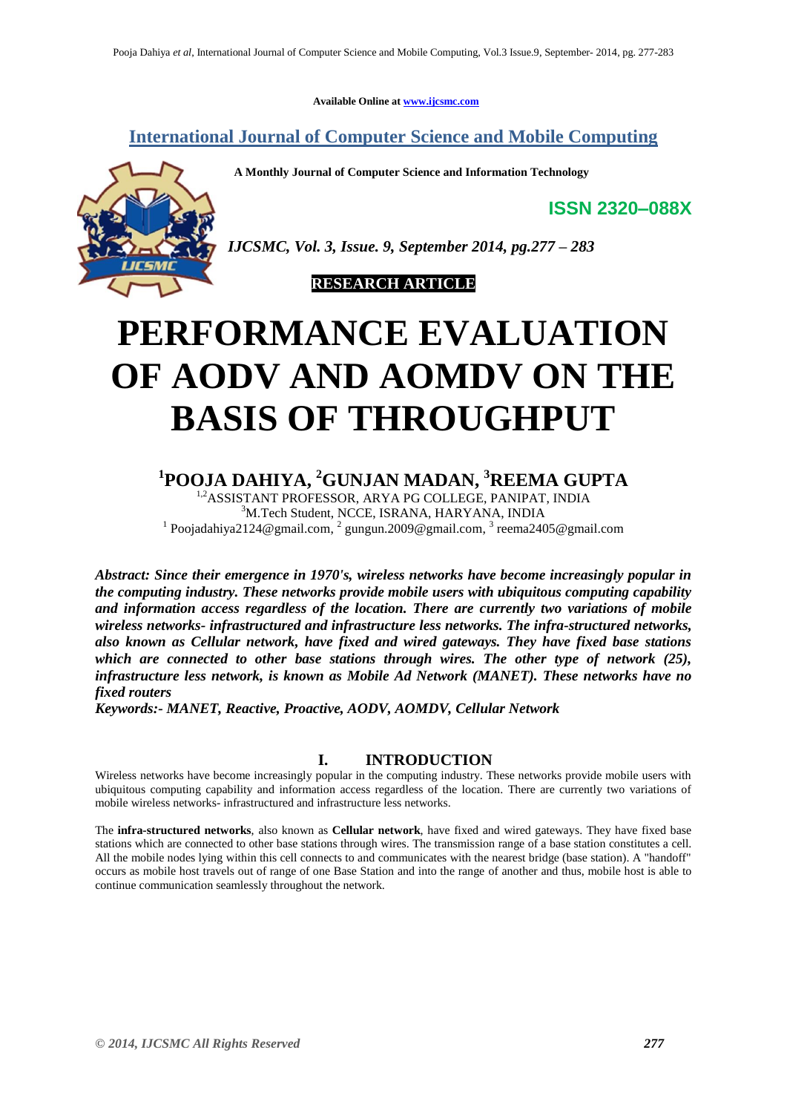**Available Online at www.ijcsmc.com**

**International Journal of Computer Science and Mobile Computing**

 **A Monthly Journal of Computer Science and Information Technology**

**ISSN 2320–088X**



*IJCSMC, Vol. 3, Issue. 9, September 2014, pg.277 – 283*



# **PERFORMANCE EVALUATION OF AODV AND AOMDV ON THE BASIS OF THROUGHPUT**

# **1 POOJA DAHIYA, <sup>2</sup>GUNJAN MADAN, <sup>3</sup>REEMA GUPTA**

1,2ASSISTANT PROFESSOR, ARYA PG COLLEGE, PANIPAT, INDIA <sup>3</sup>M.Tech Student, NCCE, ISRANA, HARYANA, INDIA <sup>1</sup> Poojadahiya2124@gmail.com, <sup>2</sup> gungun.2009@gmail.com, <sup>3</sup> reema2405@gmail.com

*Abstract: Since their emergence in 1970's, wireless networks have become increasingly popular in the computing industry. These networks provide mobile users with ubiquitous computing capability and information access regardless of the location. There are currently two variations of mobile wireless networks- infrastructured and infrastructure less networks. The infra-structured networks, also known as Cellular network, have fixed and wired gateways. They have fixed base stations which are connected to other base stations through wires. The other type of network (25), infrastructure less network, is known as Mobile Ad Network (MANET). These networks have no fixed routers*

*Keywords:- MANET, Reactive, Proactive, AODV, AOMDV, Cellular Network*

# **I. INTRODUCTION**

Wireless networks have become increasingly popular in the computing industry. These networks provide mobile users with ubiquitous computing capability and information access regardless of the location. There are currently two variations of mobile wireless networks- infrastructured and infrastructure less networks.

The **infra-structured networks**, also known as **Cellular network**, have fixed and wired gateways. They have fixed base stations which are connected to other base stations through wires. The transmission range of a base station constitutes a cell. All the mobile nodes lying within this cell connects to and communicates with the nearest bridge (base station). A "handoff" occurs as mobile host travels out of range of one Base Station and into the range of another and thus, mobile host is able to continue communication seamlessly throughout the network.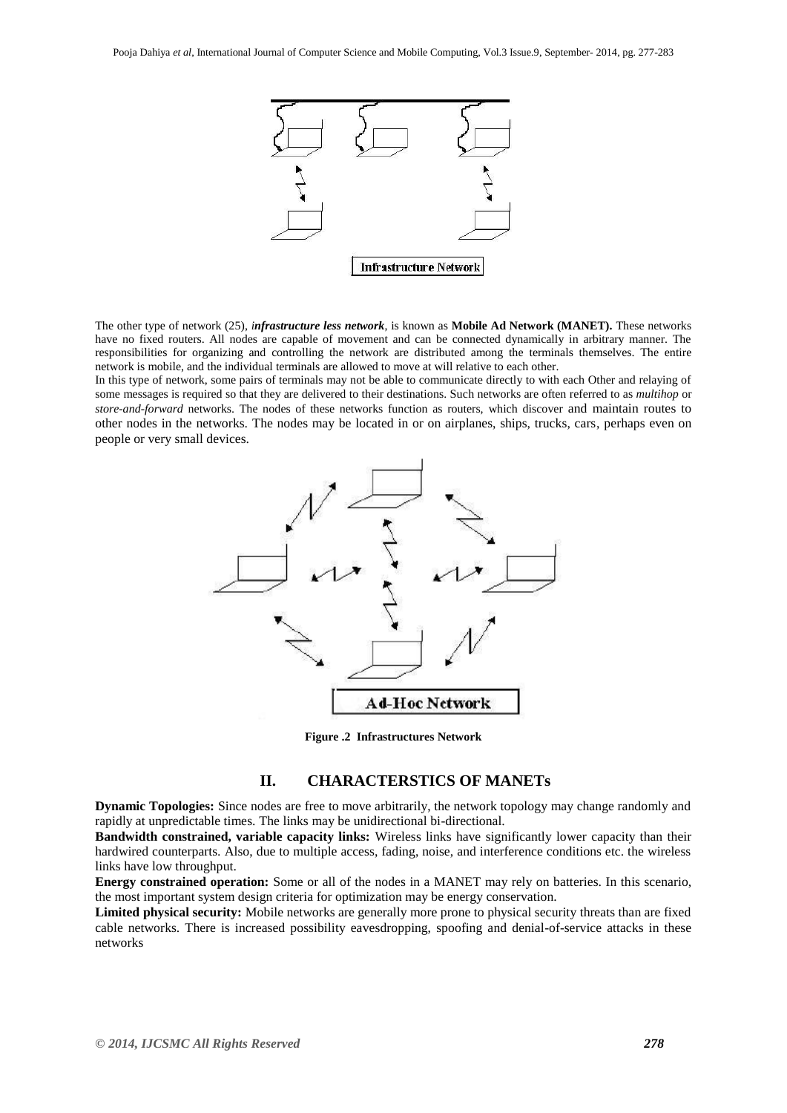

The other type of network (25), *infrastructure less network*, is known as **Mobile Ad Network (MANET).** These networks have no fixed routers. All nodes are capable of movement and can be connected dynamically in arbitrary manner. The responsibilities for organizing and controlling the network are distributed among the terminals themselves. The entire network is mobile, and the individual terminals are allowed to move at will relative to each other.

In this type of network, some pairs of terminals may not be able to communicate directly to with each Other and relaying of some messages is required so that they are delivered to their destinations. Such networks are often referred to as *multihop* or *store-and-forward* networks. The nodes of these networks function as routers, which discover and maintain routes to other nodes in the networks. The nodes may be located in or on airplanes, ships, trucks, cars, perhaps even on people or very small devices.



**Figure .2 Infrastructures Network**

## **II. CHARACTERSTICS OF MANETs**

**Dynamic Topologies:** Since nodes are free to move arbitrarily, the network topology may change randomly and rapidly at unpredictable times. The links may be unidirectional bi-directional.

**Bandwidth constrained, variable capacity links:** Wireless links have significantly lower capacity than their hardwired counterparts. Also, due to multiple access, fading, noise, and interference conditions etc. the wireless links have low throughput.

**Energy constrained operation:** Some or all of the nodes in a MANET may rely on batteries. In this scenario, the most important system design criteria for optimization may be energy conservation.

**Limited physical security:** Mobile networks are generally more prone to physical security threats than are fixed cable networks. There is increased possibility eavesdropping, spoofing and denial-of-service attacks in these networks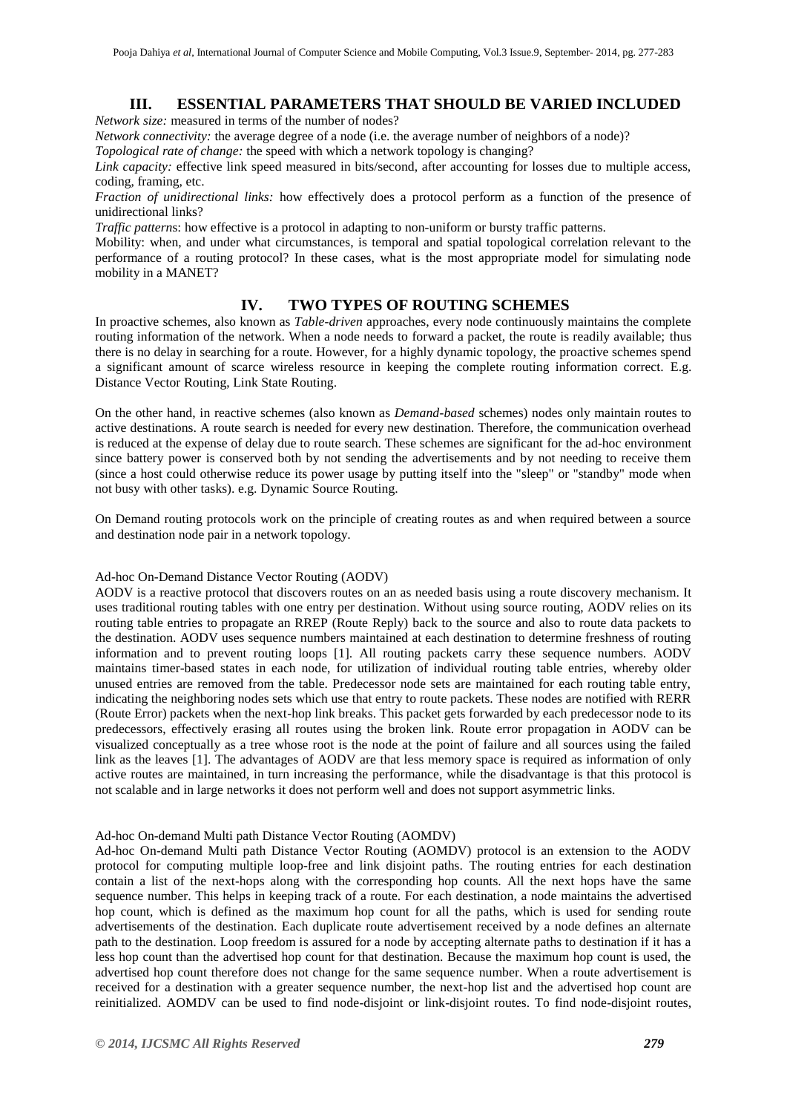### **III. ESSENTIAL PARAMETERS THAT SHOULD BE VARIED INCLUDED**

*Network size:* measured in terms of the number of nodes?

*Network connectivity:* the average degree of a node (i.e. the average number of neighbors of a node)? *Topological rate of change:* the speed with which a network topology is changing?

*Link capacity:* effective link speed measured in bits/second, after accounting for losses due to multiple access, coding, framing, etc.

*Fraction of unidirectional links:* how effectively does a protocol perform as a function of the presence of unidirectional links?

*Traffic pattern*s: how effective is a protocol in adapting to non-uniform or bursty traffic patterns.

Mobility: when, and under what circumstances, is temporal and spatial topological correlation relevant to the performance of a routing protocol? In these cases, what is the most appropriate model for simulating node mobility in a MANET?

# **IV. TWO TYPES OF ROUTING SCHEMES**

In proactive schemes, also known as *Table-driven* approaches, every node continuously maintains the complete routing information of the network. When a node needs to forward a packet, the route is readily available; thus there is no delay in searching for a route. However, for a highly dynamic topology, the proactive schemes spend a significant amount of scarce wireless resource in keeping the complete routing information correct. E.g. Distance Vector Routing, Link State Routing.

On the other hand, in reactive schemes (also known as *Demand-based* schemes) nodes only maintain routes to active destinations. A route search is needed for every new destination. Therefore, the communication overhead is reduced at the expense of delay due to route search. These schemes are significant for the ad-hoc environment since battery power is conserved both by not sending the advertisements and by not needing to receive them (since a host could otherwise reduce its power usage by putting itself into the "sleep" or "standby" mode when not busy with other tasks). e.g. Dynamic Source Routing.

On Demand routing protocols work on the principle of creating routes as and when required between a source and destination node pair in a network topology.

#### Ad-hoc On-Demand Distance Vector Routing (AODV)

AODV is a reactive protocol that discovers routes on an as needed basis using a route discovery mechanism. It uses traditional routing tables with one entry per destination. Without using source routing, AODV relies on its routing table entries to propagate an RREP (Route Reply) back to the source and also to route data packets to the destination. AODV uses sequence numbers maintained at each destination to determine freshness of routing information and to prevent routing loops [1]. All routing packets carry these sequence numbers. AODV maintains timer-based states in each node, for utilization of individual routing table entries, whereby older unused entries are removed from the table. Predecessor node sets are maintained for each routing table entry, indicating the neighboring nodes sets which use that entry to route packets. These nodes are notified with RERR (Route Error) packets when the next-hop link breaks. This packet gets forwarded by each predecessor node to its predecessors, effectively erasing all routes using the broken link. Route error propagation in AODV can be visualized conceptually as a tree whose root is the node at the point of failure and all sources using the failed link as the leaves [1]. The advantages of AODV are that less memory space is required as information of only active routes are maintained, in turn increasing the performance, while the disadvantage is that this protocol is not scalable and in large networks it does not perform well and does not support asymmetric links.

#### Ad-hoc On-demand Multi path Distance Vector Routing (AOMDV)

Ad-hoc On-demand Multi path Distance Vector Routing (AOMDV) protocol is an extension to the AODV protocol for computing multiple loop-free and link disjoint paths. The routing entries for each destination contain a list of the next-hops along with the corresponding hop counts. All the next hops have the same sequence number. This helps in keeping track of a route. For each destination, a node maintains the advertised hop count, which is defined as the maximum hop count for all the paths, which is used for sending route advertisements of the destination. Each duplicate route advertisement received by a node defines an alternate path to the destination. Loop freedom is assured for a node by accepting alternate paths to destination if it has a less hop count than the advertised hop count for that destination. Because the maximum hop count is used, the advertised hop count therefore does not change for the same sequence number. When a route advertisement is received for a destination with a greater sequence number, the next-hop list and the advertised hop count are reinitialized. AOMDV can be used to find node-disjoint or link-disjoint routes. To find node-disjoint routes,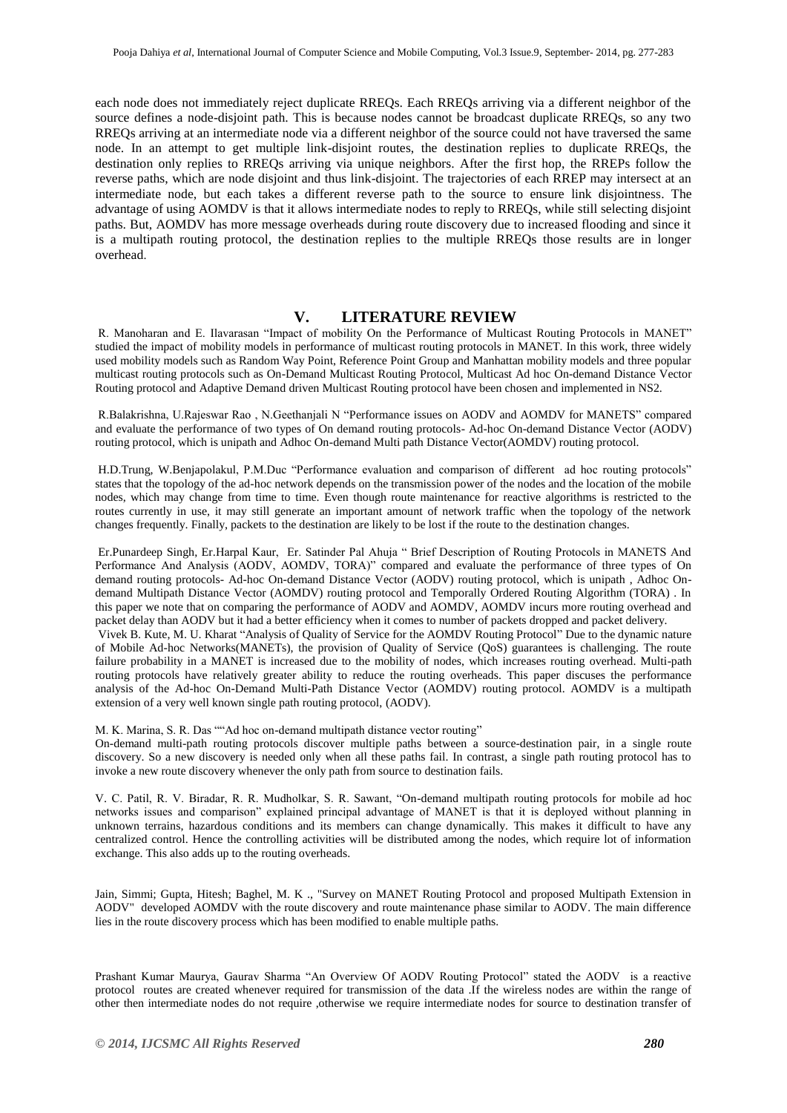each node does not immediately reject duplicate RREQs. Each RREQs arriving via a different neighbor of the source defines a node-disjoint path. This is because nodes cannot be broadcast duplicate RREQs, so any two RREQs arriving at an intermediate node via a different neighbor of the source could not have traversed the same node. In an attempt to get multiple link-disjoint routes, the destination replies to duplicate RREQs, the destination only replies to RREQs arriving via unique neighbors. After the first hop, the RREPs follow the reverse paths, which are node disjoint and thus link-disjoint. The trajectories of each RREP may intersect at an intermediate node, but each takes a different reverse path to the source to ensure link disjointness. The advantage of using AOMDV is that it allows intermediate nodes to reply to RREQs, while still selecting disjoint paths. But, AOMDV has more message overheads during route discovery due to increased flooding and since it is a multipath routing protocol, the destination replies to the multiple RREQs those results are in longer overhead.

#### **V. LITERATURE REVIEW**

R. Manoharan and E. Ilavarasan "Impact of mobility On the Performance of Multicast Routing Protocols in MANET" studied the impact of mobility models in performance of multicast routing protocols in MANET. In this work, three widely used mobility models such as Random Way Point, Reference Point Group and Manhattan mobility models and three popular multicast routing protocols such as On-Demand Multicast Routing Protocol, Multicast Ad hoc On-demand Distance Vector Routing protocol and Adaptive Demand driven Multicast Routing protocol have been chosen and implemented in NS2.

R.Balakrishna, U.Rajeswar Rao , N.Geethanjali N "Performance issues on AODV and AOMDV for MANETS" compared and evaluate the performance of two types of On demand routing protocols- Ad-hoc On-demand Distance Vector (AODV) routing protocol, which is unipath and Adhoc On-demand Multi path Distance Vector(AOMDV) routing protocol.

H.D.Trung, W.Benjapolakul, P.M.Duc "Performance evaluation and comparison of different ad hoc routing protocols" states that the topology of the ad-hoc network depends on the transmission power of the nodes and the location of the mobile nodes, which may change from time to time. Even though route maintenance for reactive algorithms is restricted to the routes currently in use, it may still generate an important amount of network traffic when the topology of the network changes frequently. Finally, packets to the destination are likely to be lost if the route to the destination changes.

Er.Punardeep Singh, Er.Harpal Kaur, Er. Satinder Pal Ahuja " Brief Description of Routing Protocols in MANETS And Performance And Analysis (AODV, AOMDV, TORA)" compared and evaluate the performance of three types of On demand routing protocols- Ad-hoc On-demand Distance Vector (AODV) routing protocol, which is unipath , Adhoc Ondemand Multipath Distance Vector (AOMDV) routing protocol and Temporally Ordered Routing Algorithm (TORA) . In this paper we note that on comparing the performance of AODV and AOMDV, AOMDV incurs more routing overhead and packet delay than AODV but it had a better efficiency when it comes to number of packets dropped and packet delivery.

Vivek B. Kute, M. U. Kharat "Analysis of Quality of Service for the AOMDV Routing Protocol" Due to the dynamic nature of Mobile Ad-hoc Networks(MANETs), the provision of Quality of Service (QoS) guarantees is challenging. The route failure probability in a MANET is increased due to the mobility of nodes, which increases routing overhead. Multi-path routing protocols have relatively greater ability to reduce the routing overheads. This paper discuses the performance analysis of the Ad-hoc On-Demand Multi-Path Distance Vector (AOMDV) routing protocol. AOMDV is a multipath extension of a very well known single path routing protocol, (AODV).

M. K. Marina, S. R. Das ""Ad hoc on-demand multipath distance vector routing"

On-demand multi-path routing protocols discover multiple paths between a source-destination pair, in a single route discovery. So a new discovery is needed only when all these paths fail. In contrast, a single path routing protocol has to invoke a new route discovery whenever the only path from source to destination fails.

V. C. Patil, R. V. Biradar, R. R. Mudholkar, S. R. Sawant, "On-demand multipath routing protocols for mobile ad hoc networks issues and comparison" explained principal advantage of MANET is that it is deployed without planning in unknown terrains, hazardous conditions and its members can change dynamically. This makes it difficult to have any centralized control. Hence the controlling activities will be distributed among the nodes, which require lot of information exchange. This also adds up to the routing overheads.

Jain, Simmi; Gupta, Hitesh; Baghel, M. K ., "Survey on MANET Routing Protocol and proposed Multipath Extension in AODV" developed AOMDV with the route discovery and route maintenance phase similar to AODV. The main difference lies in the route discovery process which has been modified to enable multiple paths.

Prashant Kumar Maurya, Gaurav Sharma "An Overview Of AODV Routing Protocol" stated the AODV is a reactive protocol routes are created whenever required for transmission of the data .If the wireless nodes are within the range of other then intermediate nodes do not require ,otherwise we require intermediate nodes for source to destination transfer of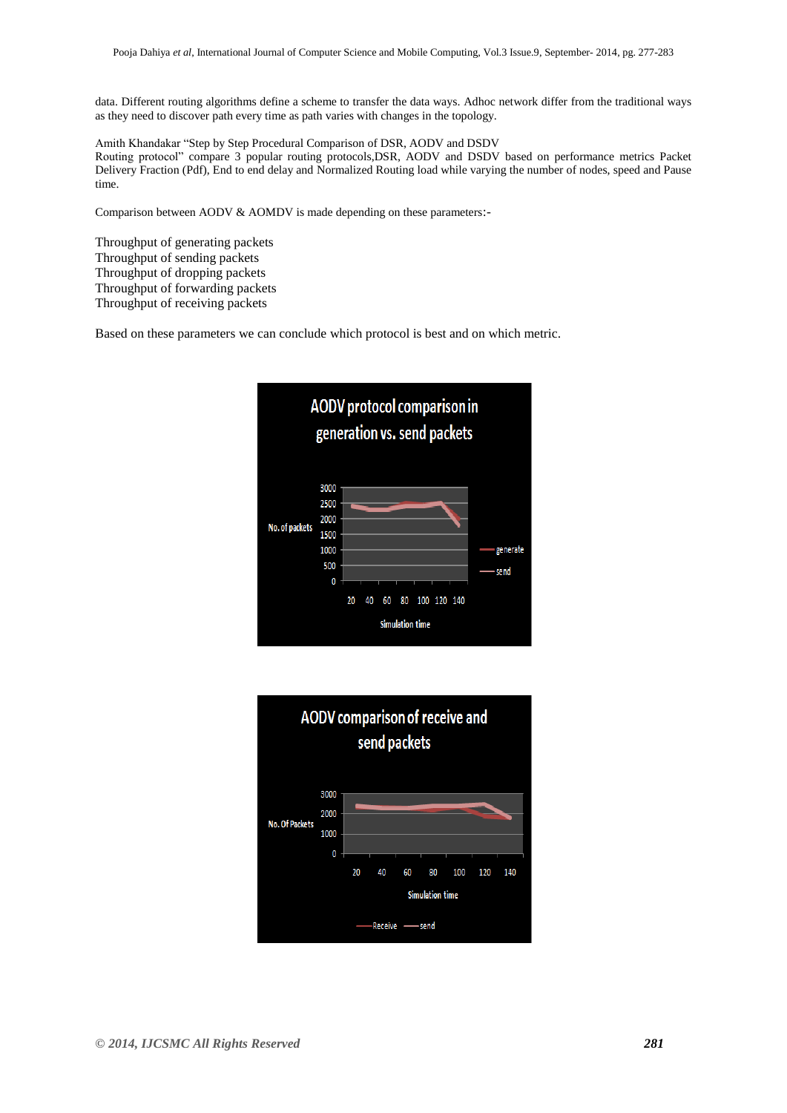data. Different routing algorithms define a scheme to transfer the data ways. Adhoc network differ from the traditional ways as they need to discover path every time as path varies with changes in the topology.

Amith Khandakar "Step by Step Procedural Comparison of DSR, AODV and DSDV Routing protocol" compare 3 popular routing protocols,DSR, AODV and DSDV based on performance metrics Packet Delivery Fraction (Pdf), End to end delay and Normalized Routing load while varying the number of nodes, speed and Pause time.

Comparison between AODV & AOMDV is made depending on these parameters:-

Throughput of generating packets Throughput of sending packets Throughput of dropping packets Throughput of forwarding packets Throughput of receiving packets

Based on these parameters we can conclude which protocol is best and on which metric.



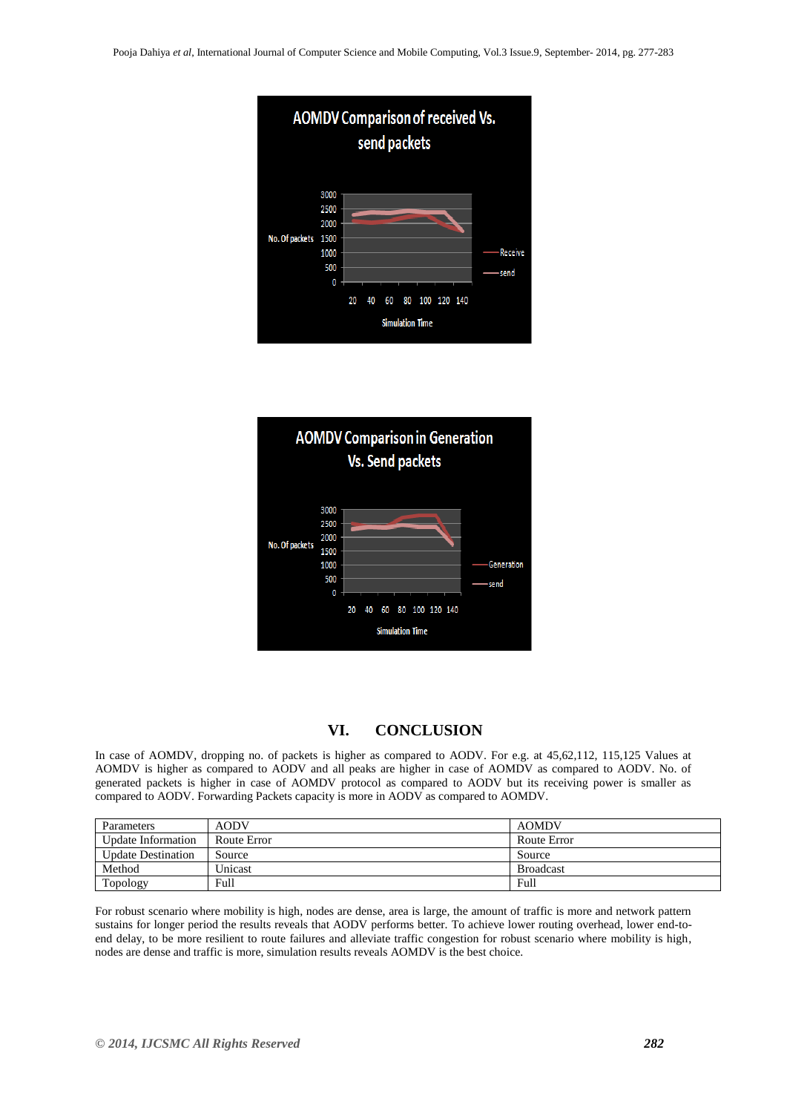



# **VI. CONCLUSION**

In case of AOMDV, dropping no. of packets is higher as compared to AODV. For e.g. at 45,62,112, 115,125 Values at AOMDV is higher as compared to AODV and all peaks are higher in case of AOMDV as compared to AODV. No. of generated packets is higher in case of AOMDV protocol as compared to AODV but its receiving power is smaller as compared to AODV. Forwarding Packets capacity is more in AODV as compared to AOMDV.

| Parameters                | <b>AODV</b> | <b>AOMDV</b>     |
|---------------------------|-------------|------------------|
| Update Information        | Route Error | Route Error      |
| <b>Update Destination</b> | Source      | Source           |
| Method                    | Unicast     | <b>Broadcast</b> |
| Topology                  | Full        | Full             |

For robust scenario where mobility is high, nodes are dense, area is large, the amount of traffic is more and network pattern sustains for longer period the results reveals that AODV performs better. To achieve lower routing overhead, lower end-toend delay, to be more resilient to route failures and alleviate traffic congestion for robust scenario where mobility is high, nodes are dense and traffic is more, simulation results reveals AOMDV is the best choice.